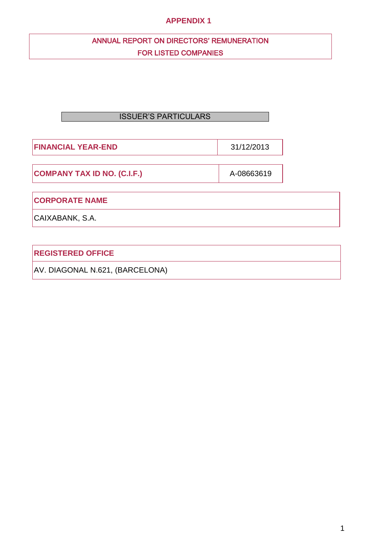## **APPENDIX 1**

# ANNUAL REPORT ON DIRECTORS' REMUNERATION FOR LISTED COMPANIES

# ISSUER'S PARTICULARS

**FINANCIAL YEAR-END** 31/12/2013

**COMPANY TAX ID NO. (C.I.F.)** A-08663619

**CORPORATE NAME**

CAIXABANK, S.A.

**REGISTERED OFFICE** 

AV. DIAGONAL N.621, (BARCELONA)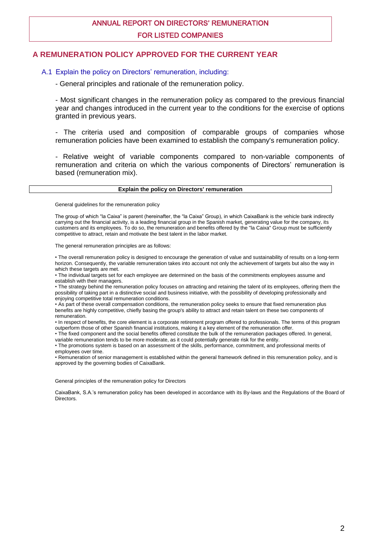# ANNUAL REPORT ON DIRECTORS' REMUNERATION FOR LISTED COMPANIES

## **A REMUNERATION POLICY APPROVED FOR THE CURRENT YEAR**

#### A.1 Explain the policy on Directors' remuneration, including:

- General principles and rationale of the remuneration policy.

- Most significant changes in the remuneration policy as compared to the previous financial year and changes introduced in the current year to the conditions for the exercise of options granted in previous years.

- The criteria used and composition of comparable groups of companies whose remuneration policies have been examined to establish the company's remuneration policy.

- Relative weight of variable components compared to non-variable components of remuneration and criteria on which the various components of Directors' remuneration is based (remuneration mix).

#### **Explain the policy on Directors' remuneration**

General guidelines for the remuneration policy

The group of which "la Caixa" is parent (hereinafter, the "la Caixa" Group), in which CaixaBank is the vehicle bank indirectly carrying out the financial activity, is a leading financial group in the Spanish market, generating value for the company, its customers and its employees. To do so, the remuneration and benefits offered by the "la Caixa" Group must be sufficiently competitive to attract, retain and motivate the best talent in the labor market.

The general remuneration principles are as follows:

• The overall remuneration policy is designed to encourage the generation of value and sustainability of results on a long-term horizon. Consequently, the variable remuneration takes into account not only the achievement of targets but also the way in which these targets are met.

• The individual targets set for each employee are determined on the basis of the commitments employees assume and establish with their managers.

• The strategy behind the remuneration policy focuses on attracting and retaining the talent of its employees, offering them the possibility of taking part in a distinctive social and business initiative, with the possibility of developing professionally and enjoying competitive total remuneration conditions.

• As part of these overall compensation conditions, the remuneration policy seeks to ensure that fixed remuneration plus benefits are highly competitive, chiefly basing the group's ability to attract and retain talent on these two components of remuneration.

• In respect of benefits, the core element is a corporate retirement program offered to professionals. The terms of this program outperform those of other Spanish financial institutions, making it a key element of the remuneration offer.

• The fixed component and the social benefits offered constitute the bulk of the remuneration packages offered. In general,

variable remuneration tends to be more moderate, as it could potentially generate risk for the entity. • The promotions system is based on an assessment of the skills, performance, commitment, and professional merits of employees over time.

• Remuneration of senior management is established within the general framework defined in this remuneration policy, and is approved by the governing bodies of CaixaBank.

General principles of the remuneration policy for Directors

CaixaBank, S.A.'s remuneration policy has been developed in accordance with its By-laws and the Regulations of the Board of Directors.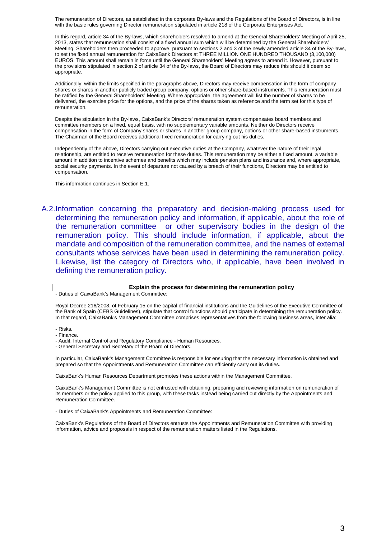The remuneration of Directors, as established in the corporate By-laws and the Regulations of the Board of Directors, is in line with the basic rules governing Director remuneration stipulated in article 218 of the Corporate Enterprises Act.

In this regard, article 34 of the By-laws, which shareholders resolved to amend at the General Shareholders' Meeting of April 25, 2013, states that remuneration shall consist of a fixed annual sum which will be determined by the General Shareholders' Meeting. Shareholders then proceeded to approve, pursuant to sections 2 and 3 of the newly amended article 34 of the By-laws, to set the fixed annual remuneration for CaixaBank Directors at THREE MILLION ONE HUNDRED THOUSAND (3,100,000) EUROS. This amount shall remain in force until the General Shareholders' Meeting agrees to amend it. However, pursuant to the provisions stipulated in section 2 of article 34 of the By-laws, the Board of Directors may reduce this should it deem so appropriate.

Additionally, within the limits specified in the paragraphs above, Directors may receive compensation in the form of company shares or shares in another publicly traded group company, options or other share-based instruments. This remuneration must be ratified by the General Shareholders' Meeting. Where appropriate, the agreement will list the number of shares to be delivered, the exercise price for the options, and the price of the shares taken as reference and the term set for this type of remuneration.

Despite the stipulation in the By-laws, CaixaBank's Directors' remuneration system compensates board members and committee members on a fixed, equal basis, with no supplementary variable amounts. Neither do Directors receive compensation in the form of Company shares or shares in another group company, options or other share-based instruments. The Chairman of the Board receives additional fixed remuneration for carrying out his duties.

Independently of the above, Directors carrying out executive duties at the Company, whatever the nature of their legal relationship, are entitled to receive remuneration for these duties. This remuneration may be either a fixed amount, a variable amount in addition to incentive schemes and benefits which may include pension plans and insurance and, where appropriate, social security payments. In the event of departure not caused by a breach of their functions, Directors may be entitled to compensation.

This information continues in Section E.1.

A.2.Information concerning the preparatory and decision-making process used for determining the remuneration policy and information, if applicable, about the role of the remuneration committee or other supervisory bodies in the design of the remuneration policy. This should include information, if applicable, about the mandate and composition of the remuneration committee, and the names of external consultants whose services have been used in determining the remuneration policy. Likewise, list the category of Directors who, if applicable, have been involved in defining the remuneration policy.

#### **Explain the process for determining the remuneration policy**

- Duties of CaixaBank's Management Committee:

Royal Decree 216/2008, of February 15 on the capital of financial institutions and the Guidelines of the Executive Committee of the Bank of Spain (CEBS Guidelines), stipulate that control functions should participate in determining the remuneration policy. In that regard, CaixaBank's Management Committee comprises representatives from the following business areas, inter alia:

- Risks.
- Finance.

- Audit, Internal Control and Regulatory Compliance - Human Resources.

- General Secretary and Secretary of the Board of Directors.

In particular, CaixaBank's Management Committee is responsible for ensuring that the necessary information is obtained and prepared so that the Appointments and Remuneration Committee can efficiently carry out its duties.

CaixaBank's Human Resources Department promotes these actions within the Management Committee.

CaixaBank's Management Committee is not entrusted with obtaining, preparing and reviewing information on remuneration of its members or the policy applied to this group, with these tasks instead being carried out directly by the Appointments and Remuneration Committee.

- Duties of CaixaBank's Appointments and Remuneration Committee:

CaixaBank's Regulations of the Board of Directors entrusts the Appointments and Remuneration Committee with providing information, advice and proposals in respect of the remuneration matters listed in the Regulations.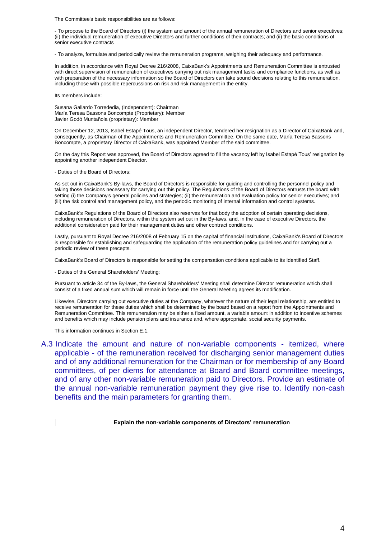The Committee's basic responsibilities are as follows:

- To propose to the Board of Directors (i) the system and amount of the annual remuneration of Directors and senior executives; (ii) the individual remuneration of executive Directors and further conditions of their contracts; and (ii) the basic conditions of senior executive contracts

- To analyze, formulate and periodically review the remuneration programs, weighing their adequacy and performance.

In addition, in accordance with Royal Decree 216/2008, CaixaBank's Appointments and Remuneration Committee is entrusted with direct supervision of remuneration of executives carrying out risk management tasks and compliance functions, as well as with preparation of the necessary information so the Board of Directors can take sound decisions relating to this remuneration, including those with possible repercussions on risk and risk management in the entity.

Its members include:

Susana Gallardo Torrededia, (Independent): Chairman María Teresa Bassons Boncompte (Proprietary): Member Javier Godó Muntañola (proprietary): Member

On December 12, 2013, Isabel Estapé Tous, an independent Director, tendered her resignation as a Director of CaixaBank and, consequently, as Chairman of the Appointments and Remuneration Committee. On the same date, María Teresa Bassons Boncompte, a proprietary Director of CaixaBank, was appointed Member of the said committee.

On the day this Report was approved, the Board of Directors agreed to fill the vacancy left by Isabel Estapé Tous' resignation by appointing another independent Director.

- Duties of the Board of Directors:

As set out in CaixaBank's By-laws, the Board of Directors is responsible for guiding and controlling the personnel policy and taking those decisions necessary for carrying out this policy. The Regulations of the Board of Directors entrusts the board with setting (i) the Company's general policies and strategies; (ii) the remuneration and evaluation policy for senior executives; and (iii) the risk control and management policy, and the periodic monitoring of internal information and control systems.

CaixaBank's Regulations of the Board of Directors also reserves for that body the adoption of certain operating decisions, including remuneration of Directors, within the system set out in the By-laws, and, in the case of executive Directors, the additional consideration paid for their management duties and other contract conditions.

Lastly, pursuant to Royal Decree 216/2008 of February 15 on the capital of financial institutions, CaixaBank's Board of Directors is responsible for establishing and safeguarding the application of the remuneration policy guidelines and for carrying out a periodic review of these precepts.

CaixaBank's Board of Directors is responsible for setting the compensation conditions applicable to its Identified Staff.

- Duties of the General Shareholders' Meeting:

Pursuant to article 34 of the By-laws, the General Shareholders' Meeting shall determine Director remuneration which shall consist of a fixed annual sum which will remain in force until the General Meeting agrees its modification.

Likewise, Directors carrying out executive duties at the Company, whatever the nature of their legal relationship, are entitled to receive remuneration for these duties which shall be determined by the board based on a report from the Appointments and Remuneration Committee. This remuneration may be either a fixed amount, a variable amount in addition to incentive schemes and benefits which may include pension plans and insurance and, where appropriate, social security payments.

This information continues in Section E.1.

A.3 Indicate the amount and nature of non-variable components - itemized, where applicable - of the remuneration received for discharging senior management duties and of any additional remuneration for the Chairman or for membership of any Board committees, of per diems for attendance at Board and Board committee meetings, and of any other non-variable remuneration paid to Directors. Provide an estimate of the annual non-variable remuneration payment they give rise to. Identify non-cash benefits and the main parameters for granting them.

**Explain the non-variable components of Directors' remuneration**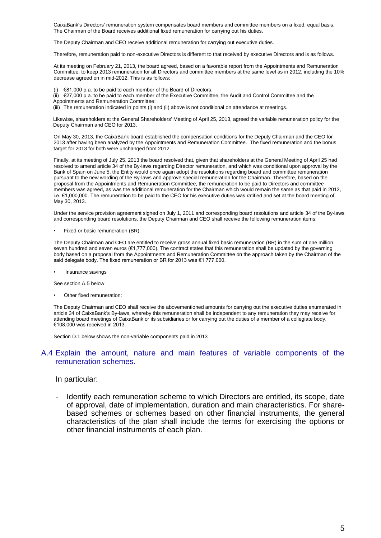CaixaBank's Directors' remuneration system compensates board members and committee members on a fixed, equal basis. The Chairman of the Board receives additional fixed remuneration for carrying out his duties.

The Deputy Chairman and CEO receive additional remuneration for carrying out executive duties.

Therefore, remuneration paid to non-executive Directors is different to that received by executive Directors and is as follows.

At its meeting on February 21, 2013, the board agreed, based on a favorable report from the Appointments and Remuneration Committee, to keep 2013 remuneration for all Directors and committee members at the same level as in 2012, including the 10% decrease agreed on in mid-2012. This is as follows:

(i)  $\epsilon$ 81,000 p.a. to be paid to each member of the Board of Directors;

- $(iii)$   $\in$  27,000 p.a. to be paid to each member of the Executive Committee, the Audit and Control Committee and the
- Appointments and Remuneration Committee;

(iii) The remuneration indicated in points (i) and (ii) above is not conditional on attendance at meetings.

Likewise, shareholders at the General Shareholders' Meeting of April 25, 2013, agreed the variable remuneration policy for the Deputy Chairman and CEO for 2013.

On May 30, 2013, the CaixaBank board established the compensation conditions for the Deputy Chairman and the CEO for 2013 after having been analyzed by the Appointments and Remuneration Committee. The fixed remuneration and the bonus target for 2013 for both were unchanged from 2012.

Finally, at its meeting of July 25, 2013 the board resolved that, given that shareholders at the General Meeting of April 25 had resolved to amend article 34 of the By-laws regarding Director remuneration, and which was conditional upon approval by the Bank of Spain on June 5, the Entity would once again adopt the resolutions regarding board and committee remuneration pursuant to the new wording of the By-laws and approve special remuneration for the Chairman. Therefore, based on the proposal from the Appointments and Remuneration Committee, the remuneration to be paid to Directors and committee members was agreed, as was the additional remuneration for the Chairman which would remain the same as that paid in 2012, i.e. €1,000,000. The remuneration to be paid to the CEO for his executive duties was ratified and set at the board meeting of May 30, 2013.

Under the service provision agreement signed on July 1, 2011 and corresponding board resolutions and article 34 of the By-laws and corresponding board resolutions, the Deputy Chairman and CEO shall receive the following remuneration items:

• Fixed or basic remuneration (BR):

The Deputy Chairman and CEO are entitled to receive gross annual fixed basic remuneration (BR) in the sum of one million seven hundred and seven euros (€1,777,000). The contract states that this remuneration shall be updated by the governing body based on a proposal from the Appointments and Remuneration Committee on the approach taken by the Chairman of the said delegate body. The fixed remuneration or BR for 2013 was €1,777,000.

• Insurance savings

See section A.5 below

Other fixed remuneration:

The Deputy Chairman and CEO shall receive the abovementioned amounts for carrying out the executive duties enumerated in article 34 of CaixaBank's By-laws, whereby this remuneration shall be independent to any remuneration they may receive for attending board meetings of CaixaBank or its subsidiaries or for carrying out the duties of a member of a collegiate body. €108,000 was received in 2013.

Section D.1 below shows the non-variable components paid in 2013

#### A.4 Explain the amount, nature and main features of variable components of the remuneration schemes.

#### In particular:

- Identify each remuneration scheme to which Directors are entitled, its scope, date of approval, date of implementation, duration and main characteristics. For sharebased schemes or schemes based on other financial instruments, the general characteristics of the plan shall include the terms for exercising the options or other financial instruments of each plan.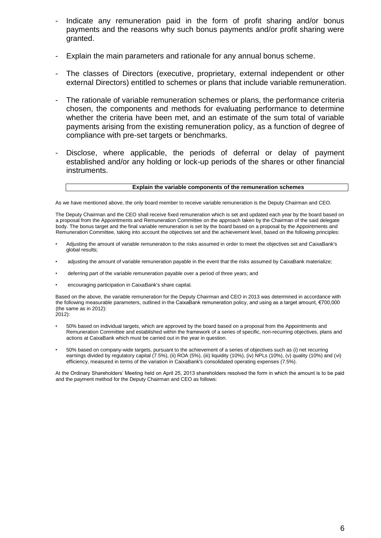- Indicate any remuneration paid in the form of profit sharing and/or bonus payments and the reasons why such bonus payments and/or profit sharing were granted.
- Explain the main parameters and rationale for any annual bonus scheme.
- The classes of Directors (executive, proprietary, external independent or other external Directors) entitled to schemes or plans that include variable remuneration.
- The rationale of variable remuneration schemes or plans, the performance criteria chosen, the components and methods for evaluating performance to determine whether the criteria have been met, and an estimate of the sum total of variable payments arising from the existing remuneration policy, as a function of degree of compliance with pre-set targets or benchmarks.
- Disclose, where applicable, the periods of deferral or delay of payment established and/or any holding or lock-up periods of the shares or other financial instruments.

#### **Explain the variable components of the remuneration schemes**

As we have mentioned above, the only board member to receive variable remuneration is the Deputy Chairman and CEO.

The Deputy Chairman and the CEO shall receive fixed remuneration which is set and updated each year by the board based on a proposal from the Appointments and Remuneration Committee on the approach taken by the Chairman of the said delegate body. The bonus target and the final variable remuneration is set by the board based on a proposal by the Appointments and Remuneration Committee, taking into account the objectives set and the achievement level, based on the following principles:

- Adjusting the amount of variable remuneration to the risks assumed in order to meet the objectives set and CaixaBank's global results;
- adjusting the amount of variable remuneration payable in the event that the risks assumed by CaixaBank materialize;
- deferring part of the variable remuneration payable over a period of three years; and
- encouraging participation in CaixaBank's share capital.

Based on the above, the variable remuneration for the Deputy Chairman and CEO in 2013 was determined in accordance with the following measurable parameters, outlined in the CaixaBank remuneration policy, and using as a target amount, €700,000 (the same as in 2012):

- 2012):
	- 50% based on individual targets, which are approved by the board based on a proposal from the Appointments and Remuneration Committee and established within the framework of a series of specific, non-recurring objectives, plans and actions at CaixaBank which must be carried out in the year in question.
- 50% based on company-wide targets, pursuant to the achievement of a series of objectives such as (i) net recurring earnings divided by regulatory capital (7.5%), (ii) ROA (5%), (iii) liquidity (10%), (iv) NPLs (10%), (v) quality (10%) and (vi) efficiency, measured in terms of the variation in CaixaBank's consolidated operating expenses (7.5%).

At the Ordinary Shareholders' Meeting held on April 25, 2013 shareholders resolved the form in which the amount is to be paid and the payment method for the Deputy Chairman and CEO as follows: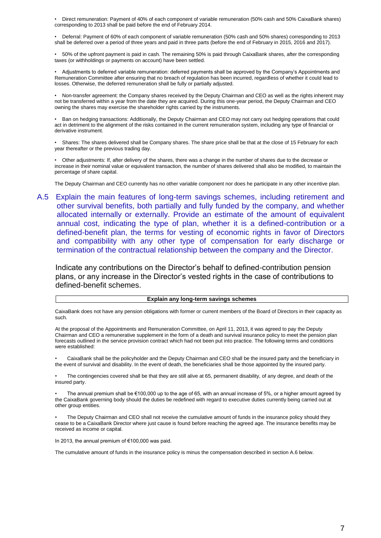• Direct remuneration: Payment of 40% of each component of variable remuneration (50% cash and 50% CaixaBank shares) corresponding to 2013 shall be paid before the end of February 2014.

• Deferral: Payment of 60% of each component of variable remuneration (50% cash and 50% shares) corresponding to 2013 shall be deferred over a period of three years and paid in three parts (before the end of February in 2015, 2016 and 2017).

• 50% of the upfront payment is paid in cash. The remaining 50% is paid through CaixaBank shares, after the corresponding taxes (or withholdings or payments on account) have been settled.

• Adjustments to deferred variable remuneration: deferred payments shall be approved by the Company's Appointments and Remuneration Committee after ensuring that no breach of regulation has been incurred, regardless of whether it could lead to losses. Otherwise, the deferred remuneration shall be fully or partially adjusted.

• Non-transfer agreement: the Company shares received by the Deputy Chairman and CEO as well as the rights inherent may not be transferred within a year from the date they are acquired. During this one-year period, the Deputy Chairman and CEO owning the shares may exercise the shareholder rights carried by the instruments.

• Ban on hedging transactions: Additionally, the Deputy Chairman and CEO may not carry out hedging operations that could act in detriment to the alignment of the risks contained in the current remuneration system, including any type of financial or derivative instrument.

• Shares: The shares delivered shall be Company shares. The share price shall be that at the close of 15 February for each year thereafter or the previous trading day.

• Other adjustments: If, after delivery of the shares, there was a change in the number of shares due to the decrease or increase in their nominal value or equivalent transaction, the number of shares delivered shall also be modified, to maintain the percentage of share capital.

The Deputy Chairman and CEO currently has no other variable component nor does he participate in any other incentive plan.

A.5 Explain the main features of long-term savings schemes, including retirement and other survival benefits, both partially and fully funded by the company, and whether allocated internally or externally. Provide an estimate of the amount of equivalent annual cost, indicating the type of plan, whether it is a defined-contribution or a defined-benefit plan, the terms for vesting of economic rights in favor of Directors and compatibility with any other type of compensation for early discharge or termination of the contractual relationship between the company and the Director.

Indicate any contributions on the Director's behalf to defined-contribution pension plans, or any increase in the Director's vested rights in the case of contributions to defined-benefit schemes.

#### **Explain any long-term savings schemes**

CaixaBank does not have any pension obligations with former or current members of the Board of Directors in their capacity as such.

At the proposal of the Appointments and Remuneration Committee, on April 11, 2013, it was agreed to pay the Deputy Chairman and CEO a remunerative supplement in the form of a death and survival insurance policy to meet the pension plan forecasts outlined in the service provision contract which had not been put into practice. The following terms and conditions were established:

• CaixaBank shall be the policyholder and the Deputy Chairman and CEO shall be the insured party and the beneficiary in the event of survival and disability. In the event of death, the beneficiaries shall be those appointed by the insured party.

• The contingencies covered shall be that they are still alive at 65, permanent disability, of any degree, and death of the insured party.

• The annual premium shall be €100,000 up to the age of 65, with an annual increase of 5%, or a higher amount agreed by the CaixaBank governing body should the duties be redefined with regard to executive duties currently being carried out at other group entities.

• The Deputy Chairman and CEO shall not receive the cumulative amount of funds in the insurance policy should they cease to be a CaixaBank Director where just cause is found before reaching the agreed age. The insurance benefits may be received as income or capital.

In 2013, the annual premium of €100,000 was paid.

The cumulative amount of funds in the insurance policy is minus the compensation described in section A.6 below.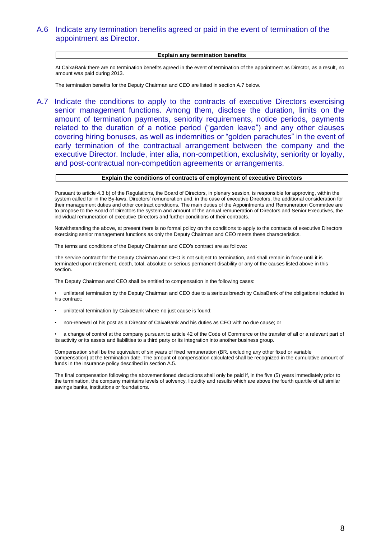## A.6 Indicate any termination benefits agreed or paid in the event of termination of the appointment as Director.

#### **Explain any termination benefits**

At CaixaBank there are no termination benefits agreed in the event of termination of the appointment as Director, as a result, no amount was paid during 2013.

The termination benefits for the Deputy Chairman and CEO are listed in section A.7 below.

A.7 Indicate the conditions to apply to the contracts of executive Directors exercising senior management functions. Among them, disclose the duration, limits on the amount of termination payments, seniority requirements, notice periods, payments related to the duration of a notice period ("garden leave") and any other clauses covering hiring bonuses, as well as indemnities or "golden parachutes" in the event of early termination of the contractual arrangement between the company and the executive Director. Include, inter alia, non-competition, exclusivity, seniority or loyalty, and post-contractual non-competition agreements or arrangements.

#### **Explain the conditions of contracts of employment of executive Directors**

Pursuant to article 4.3 b) of the Regulations, the Board of Directors, in plenary session, is responsible for approving, within the system called for in the By-laws, Directors' remuneration and, in the case of executive Directors, the additional consideration for their management duties and other contract conditions. The main duties of the Appointments and Remuneration Committee are to propose to the Board of Directors the system and amount of the annual remuneration of Directors and Senior Executives, the individual remuneration of executive Directors and further conditions of their contracts.

Notwithstanding the above, at present there is no formal policy on the conditions to apply to the contracts of executive Directors exercising senior management functions as only the Deputy Chairman and CEO meets these characteristics.

The terms and conditions of the Deputy Chairman and CEO's contract are as follows:

The service contract for the Deputy Chairman and CEO is not subject to termination, and shall remain in force until it is terminated upon retirement, death, total, absolute or serious permanent disability or any of the causes listed above in this section.

The Deputy Chairman and CEO shall be entitled to compensation in the following cases:

• unilateral termination by the Deputy Chairman and CEO due to a serious breach by CaixaBank of the obligations included in his contract;

- unilateral termination by CaixaBank where no just cause is found;
- non-renewal of his post as a Director of CaixaBank and his duties as CEO with no due cause; or

• a change of control at the company pursuant to article 42 of the Code of Commerce or the transfer of all or a relevant part of its activity or its assets and liabilities to a third party or its integration into another business group.

Compensation shall be the equivalent of six years of fixed remuneration (BR, excluding any other fixed or variable compensation) at the termination date. The amount of compensation calculated shall be recognized in the cumulative amount of funds in the insurance policy described in section A.5.

The final compensation following the abovementioned deductions shall only be paid if, in the five (5) years immediately prior to the termination, the company maintains levels of solvency, liquidity and results which are above the fourth quartile of all similar savings banks, institutions or foundations.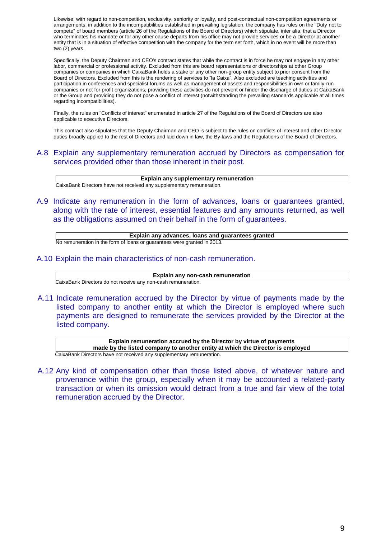Likewise, with regard to non-competition, exclusivity, seniority or loyalty, and post-contractual non-competition agreements or arrangements, in addition to the incompatibilities established in prevailing legislation, the company has rules on the "Duty not to compete" of board members (article 26 of the Regulations of the Board of Directors) which stipulate, inter alia, that a Director who terminates his mandate or for any other cause departs from his office may not provide services or be a Director at another entity that is in a situation of effective competition with the company for the term set forth, which in no event will be more than two (2) years.

Specifically, the Deputy Chairman and CEO's contract states that while the contract is in force he may not engage in any other labor, commercial or professional activity. Excluded from this are board representations or directorships at other Group companies or companies in which CaixaBank holds a stake or any other non-group entity subject to prior consent from the Board of Directors. Excluded from this is the rendering of services to "la Caixa". Also excluded are teaching activities and participation in conferences and specialist forums as well as management of assets and responsibilities in own or family-run companies or not for profit organizations, providing these activities do not prevent or hinder the discharge of duties at CaixaBank or the Group and providing they do not pose a conflict of interest (notwithstanding the prevailing standards applicable at all times regarding incompatibilities).

Finally, the rules on "Conflicts of interest" enumerated in article 27 of the Regulations of the Board of Directors are also applicable to executive Directors.

This contract also stipulates that the Deputy Chairman and CEO is subject to the rules on conflicts of interest and other Director duties broadly applied to the rest of Directors and laid down in law, the By-laws and the Regulations of the Board of Directors.

A.8 Explain any supplementary remuneration accrued by Directors as compensation for services provided other than those inherent in their post.

**Explain any supplementary remuneration** CaixaBank Directors have not received any supplementary remuneration.

A.9 Indicate any remuneration in the form of advances, loans or guarantees granted, along with the rate of interest, essential features and any amounts returned, as well as the obligations assumed on their behalf in the form of guarantees.

**Explain any advances, loans and guarantees granted**

No remuneration in the form of loans or guarantees were granted in 2013.

A.10 Explain the main characteristics of non-cash remuneration.

**Explain any non-cash remuneration**

CaixaBank Directors do not receive any non-cash remuneration.

A.11 Indicate remuneration accrued by the Director by virtue of payments made by the listed company to another entity at which the Director is employed where such payments are designed to remunerate the services provided by the Director at the listed company.

**Explain remuneration accrued by the Director by virtue of payments made by the listed company to another entity at which the Director is employed** CaixaBank Directors have not received any supplementary remuneration.

A.12 Any kind of compensation other than those listed above, of whatever nature and provenance within the group, especially when it may be accounted a related-party transaction or when its omission would detract from a true and fair view of the total remuneration accrued by the Director.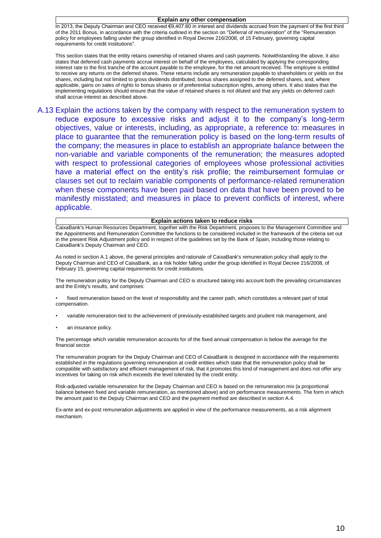#### **Explain any other compensation**

In 2013, the Deputy Chairman and CEO received €9,407.60 in interest and dividends accrued from the payment of the first third of the 2011 Bonus, in accordance with the criteria outlined in the section on "Deferral of remuneration" of the "Remuneration policy for employees falling under the group identified in Royal Decree 216/2008, of 15 February, governing capital requirements for credit institutions".

This section states that the entity retains ownership of retained shares and cash payments. Notwithstanding the above, it also states that deferred cash payments accrue interest on behalf of the employees, calculated by applying the corresponding interest rate to the first tranche of the account payable to the employee, for the net amount received. The employee is entitled to receive any returns on the deferred shares. These returns include any remuneration payable to shareholders or yields on the shares, including but not limited to gross dividends distributed, bonus shares assigned to the deferred shares, and, where applicable, gains on sales of rights to bonus shares or of preferential subscription rights, among others. It also states that the implementing regulations should ensure that the value of retained shares is not diluted and that any yields on deferred cash shall accrue interest as described above.

A.13 Explain the actions taken by the company with respect to the remuneration system to reduce exposure to excessive risks and adjust it to the company's long-term objectives, value or interests, including, as appropriate, a reference to: measures in place to guarantee that the remuneration policy is based on the long-term results of the company; the measures in place to establish an appropriate balance between the non-variable and variable components of the remuneration; the measures adopted with respect to professional categories of employees whose professional activities have a material effect on the entity's risk profile; the reimbursement formulae or clauses set out to reclaim variable components of performance-related remuneration when these components have been paid based on data that have been proved to be manifestly misstated; and measures in place to prevent conflicts of interest, where applicable.

#### **Explain actions taken to reduce risks**

CaixaBank's Human Resources Department, together with the Risk Department, proposes to the Management Committee and the Appointments and Remuneration Committee the functions to be considered included in the framework of the criteria set out in the present Risk Adjustment policy and in respect of the guidelines set by the Bank of Spain, including those relating to CaixaBank's Deputy Chairman and CEO.

As noted in section A.1 above, the general principles and rationale of CaixaBank's remuneration policy shall apply to the Deputy Chairman and CEO of CaixaBank, as a risk holder falling under the group identified in Royal Decree 216/2008, of February 15, governing capital requirements for credit institutions.

The remuneration policy for the Deputy Chairman and CEO is structured taking into account both the prevailing circumstances and the Entity's results, and comprises:

fixed remuneration based on the level of responsibility and the career path, which constitutes a relevant part of total compensation.

- variable remuneration tied to the achievement of previously-established targets and prudent risk management, and
- an insurance policy.

The percentage which variable remuneration accounts for of the fixed annual compensation is below the average for the financial sector.

The remuneration program for the Deputy Chairman and CEO of CaixaBank is designed in accordance with the requirements established in the regulations governing remuneration at credit entities which state that the remuneration policy shall be compatible with satisfactory and efficient management of risk, that it promotes this kind of management and does not offer any incentives for taking on risk which exceeds the level tolerated by the credit entity.

Risk-adjusted variable remuneration for the Deputy Chairman and CEO is based on the remuneration mix (a proportional balance between fixed and variable remuneration, as mentioned above) and on performance measurements. The form in which the amount paid to the Deputy Chairman and CEO and the payment method are described in section A.4.

Ex-ante and ex-post remuneration adjustments are applied in view of the performance measurements, as a risk alignment mechanism.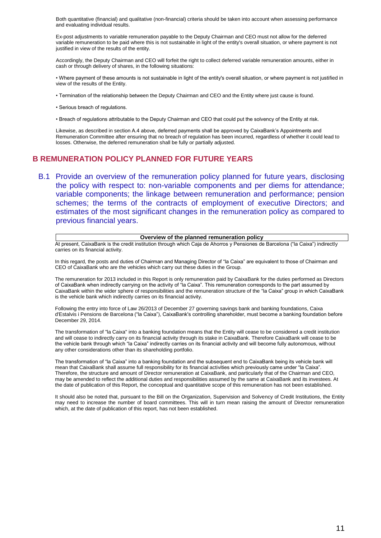Both quantitative (financial) and qualitative (non-financial) criteria should be taken into account when assessing performance and evaluating individual results.

Ex-post adjustments to variable remuneration payable to the Deputy Chairman and CEO must not allow for the deferred variable remuneration to be paid where this is not sustainable in light of the entity's overall situation, or where payment is not justified in view of the results of the entity.

Accordingly, the Deputy Chairman and CEO will forfeit the right to collect deferred variable remuneration amounts, either in cash or through delivery of shares, in the following situations:

• Where payment of these amounts is not sustainable in light of the entity's overall situation, or where payment is not justified in view of the results of the Entity.

• Termination of the relationship between the Deputy Chairman and CEO and the Entity where just cause is found.

• Serious breach of regulations.

• Breach of regulations attributable to the Deputy Chairman and CEO that could put the solvency of the Entity at risk.

Likewise, as described in section A.4 above, deferred payments shall be approved by CaixaBank's Appointments and Remuneration Committee after ensuring that no breach of regulation has been incurred, regardless of whether it could lead to losses. Otherwise, the deferred remuneration shall be fully or partially adjusted.

## **B REMUNERATION POLICY PLANNED FOR FUTURE YEARS**

B.1 Provide an overview of the remuneration policy planned for future years, disclosing the policy with respect to: non-variable components and per diems for attendance; variable components; the linkage between remuneration and performance; pension schemes; the terms of the contracts of employment of executive Directors; and estimates of the most significant changes in the remuneration policy as compared to previous financial years.

#### **Overview of the planned remuneration policy**

At present, CaixaBank is the credit institution through which Caja de Ahorros y Pensiones de Barcelona ("la Caixa") indirectly carries on its financial activity.

In this regard, the posts and duties of Chairman and Managing Director of "la Caixa" are equivalent to those of Chairman and CEO of CaixaBank who are the vehicles which carry out these duties in the Group.

The remuneration for 2013 included in this Report is only remuneration paid by CaixaBank for the duties performed as Directors of CaixaBank when indirectly carrying on the activity of "la Caixa". This remuneration corresponds to the part assumed by CaixaBank within the wider sphere of responsibilities and the remuneration structure of the "la Caixa" group in which CaixaBank is the vehicle bank which indirectly carries on its financial activity.

Following the entry into force of Law 26/2013 of December 27 governing savings bank and banking foundations, Caixa d'Estalvis i Pensions de Barcelona ("la Caixa"), CaixaBank's controlling shareholder, must become a banking foundation before December 29, 2014.

The transformation of "la Caixa" into a banking foundation means that the Entity will cease to be considered a credit institution and will cease to indirectly carry on its financial activity through its stake in CaixaBank. Therefore CaixaBank will cease to be the vehicle bank through which "la Caixa" indirectly carries on its financial activity and will become fully autonomous, without any other considerations other than its shareholding portfolio.

The transformation of "la Caixa" into a banking foundation and the subsequent end to CaixaBank being its vehicle bank will mean that CaixaBank shall assume full responsibility for its financial activities which previously came under "la Caixa". Therefore, the structure and amount of Director remuneration at CaixaBank, and particularly that of the Chairman and CEO, may be amended to reflect the additional duties and responsibilities assumed by the same at CaixaBank and its investees. At the date of publication of this Report, the conceptual and quantitative scope of this remuneration has not been established.

It should also be noted that, pursuant to the Bill on the Organization, Supervision and Solvency of Credit Institutions, the Entity may need to increase the number of board committees. This will in turn mean raising the amount of Director remuneration which, at the date of publication of this report, has not been established.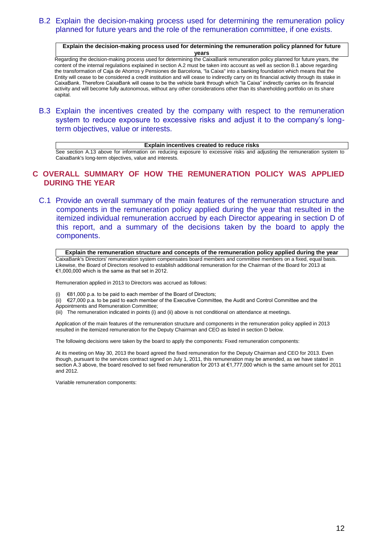## B.2 Explain the decision-making process used for determining the remuneration policy planned for future years and the role of the remuneration committee, if one exists.

**Explain the decision-making process used for determining the remuneration policy planned for future years**

Regarding the decision-making process used for determining the CaixaBank remuneration policy planned for future years, the content of the internal regulations explained in section A.2 must be taken into account as well as section B.1 above regarding the transformation of Caja de Ahorros y Pensiones de Barcelona, "la Caixa" into a banking foundation which means that the Entity will cease to be considered a credit institution and will cease to indirectly carry on its financial activity through its stake in CaixaBank. Therefore CaixaBank will cease to be the vehicle bank through which "la Caixa" indirectly carries on its financial activity and will become fully autonomous, without any other considerations other than its shareholding portfolio on its share capital.

B.3 Explain the incentives created by the company with respect to the remuneration system to reduce exposure to excessive risks and adjust it to the company's longterm objectives, value or interests.

**Explain incentives created to reduce risks**

See section A.13 above for information on reducing exposure to excessive risks and adjusting the remuneration system to CaixaBank's long-term objectives, value and interests.

## **C OVERALL SUMMARY OF HOW THE REMUNERATION POLICY WAS APPLIED DURING THE YEAR**

C.1 Provide an overall summary of the main features of the remuneration structure and components in the remuneration policy applied during the year that resulted in the itemized individual remuneration accrued by each Director appearing in section D of this report, and a summary of the decisions taken by the board to apply the components.

**Explain the remuneration structure and concepts of the remuneration policy applied during the year** CaixaBank's Directors' remuneration system compensates board members and committee members on a fixed, equal basis. Likewise, the Board of Directors resolved to establish additional remuneration for the Chairman of the Board for 2013 at €1,000,000 which is the same as that set in 2012.

Remuneration applied in 2013 to Directors was accrued as follows:

(i)  $\epsilon$ 81,000 p.a. to be paid to each member of the Board of Directors;

(ii) €27,000 p.a. to be paid to each member of the Executive Committee, the Audit and Control Committee and the

Appointments and Remuneration Committee;

(iii) The remuneration indicated in points (i) and (ii) above is not conditional on attendance at meetings.

Application of the main features of the remuneration structure and components in the remuneration policy applied in 2013 resulted in the itemized remuneration for the Deputy Chairman and CEO as listed in section D below.

The following decisions were taken by the board to apply the components: Fixed remuneration components:

At its meeting on May 30, 2013 the board agreed the fixed remuneration for the Deputy Chairman and CEO for 2013. Even though, pursuant to the services contract signed on July 1, 2011, this remuneration may be amended, as we have stated in section A.3 above, the board resolved to set fixed remuneration for 2013 at €1,777,000 which is the same amount set for 2011 and 2012.

Variable remuneration components: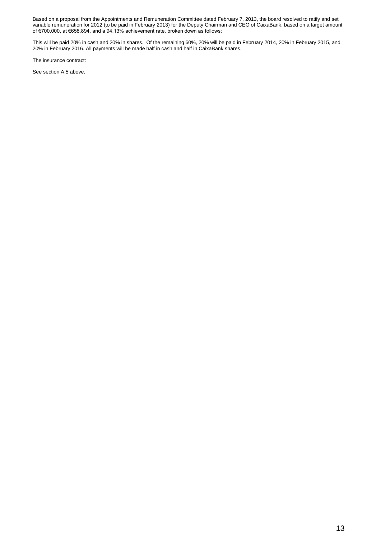Based on a proposal from the Appointments and Remuneration Committee dated February 7, 2013, the board resolved to ratify and set variable remuneration for 2012 (to be paid in February 2013) for the Deputy Chairman and CEO of CaixaBank, based on a target amount of €700,000, at €658,894, and a 94.13% achievement rate, broken down as follows:

This will be paid 20% in cash and 20% in shares. Of the remaining 60%, 20% will be paid in February 2014, 20% in February 2015, and 20% in February 2016. All payments will be made half in cash and half in CaixaBank shares.

The insurance contract:

See section A.5 above.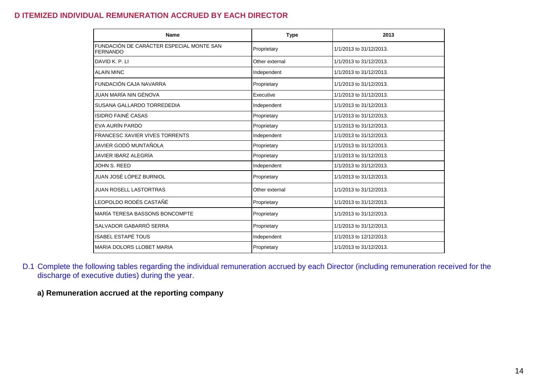## **D ITEMIZED INDIVIDUAL REMUNERATION ACCRUED BY EACH DIRECTOR**

| <b>Name</b>                                                 | <b>Type</b>    | 2013                    |
|-------------------------------------------------------------|----------------|-------------------------|
| FUNDACIÓN DE CARÁCTER ESPECIAL MONTE SAN<br><b>FERNANDO</b> | Proprietary    | 1/1/2013 to 31/12/2013. |
| DAVID K. P. LI                                              | Other external | 1/1/2013 to 31/12/2013. |
| <b>ALAIN MINC</b>                                           | Independent    | 1/1/2013 to 31/12/2013. |
| FUNDACIÓN CAJA NAVARRA                                      | Proprietary    | 1/1/2013 to 31/12/2013. |
| JUAN MARÍA NIN GÉNOVA                                       | Executive      | 1/1/2013 to 31/12/2013. |
| SUSANA GALLARDO TORREDEDIA                                  | Independent    | 1/1/2013 to 31/12/2013. |
| <b>ISIDRO FAINÉ CASAS</b>                                   | Proprietary    | 1/1/2013 to 31/12/2013. |
| EVA AURÍN PARDO                                             | Proprietary    | 1/1/2013 to 31/12/2013. |
| <b>FRANCESC XAVIER VIVES TORRENTS</b>                       | Independent    | 1/1/2013 to 31/12/2013. |
| JAVIER GODÓ MUNTAÑOLA                                       | Proprietary    | 1/1/2013 to 31/12/2013. |
| JAVIER IBARZ ALEGRÍA                                        | Proprietary    | 1/1/2013 to 31/12/2013. |
| JOHN S. REED                                                | Independent    | 1/1/2013 to 31/12/2013. |
| JUAN JOSÉ LÓPEZ BURNIOL                                     | Proprietary    | 1/1/2013 to 31/12/2013. |
| <b>JUAN ROSELL LASTORTRAS</b>                               | Other external | 1/1/2013 to 31/12/2013. |
| LEOPOLDO RODÉS CASTAÑÉ                                      | Proprietary    | 1/1/2013 to 31/12/2013. |
| MARÍA TERESA BASSONS BONCOMPTE                              | Proprietary    | 1/1/2013 to 31/12/2013. |
| SALVADOR GABARRÓ SERRA                                      | Proprietary    | 1/1/2013 to 31/12/2013. |
| <b>ISABEL ESTAPÉ TOUS</b>                                   | Independent    | 1/1/2013 to 12/12/2013. |
| <b>MARIA DOLORS LLOBET MARIA</b>                            | Proprietary    | 1/1/2013 to 31/12/2013. |

D.1 Complete the following tables regarding the individual remuneration accrued by each Director (including remuneration received for the discharge of executive duties) during the year.

**a) Remuneration accrued at the reporting company**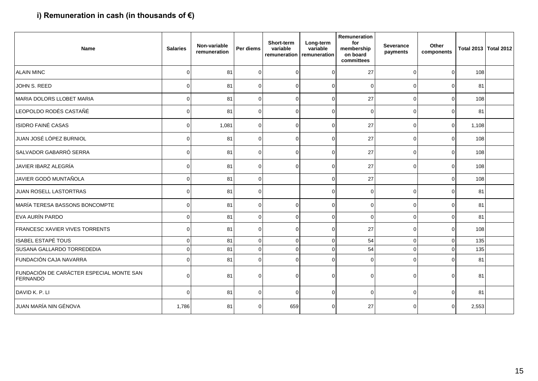# **i) Remuneration in cash (in thousands of €)**

| <b>Name</b>                                                 | <b>Salaries</b> | Non-variable<br>remuneration | Per diems | Short-term<br>variable<br>remuneration | Long-term<br>variable<br>remuneration | Remuneration<br>for<br>membership<br>on board<br>committees | <b>Severance</b><br>payments | Other<br>components |       | Total 2013 Total 2012 |
|-------------------------------------------------------------|-----------------|------------------------------|-----------|----------------------------------------|---------------------------------------|-------------------------------------------------------------|------------------------------|---------------------|-------|-----------------------|
| <b>ALAIN MINC</b>                                           | $\Omega$        | 81                           | 0         | $\Omega$                               | $\Omega$                              | 27                                                          | $\Omega$                     | $\Omega$            | 108   |                       |
| JOHN S. REED                                                | $\mathbf 0$     | 81                           | $\Omega$  | $\Omega$                               | $\mathbf 0$                           | 0                                                           | $\overline{0}$               | $\Omega$            | 81    |                       |
| MARIA DOLORS LLOBET MARIA                                   | $\mathbf 0$     | 81                           | $\Omega$  | $\mathbf 0$                            | $\overline{0}$                        | 27                                                          | $\overline{0}$               | $\mathbf 0$         | 108   |                       |
| LEOPOLDO RODÉS CASTAÑÉ                                      | $\mathbf 0$     | 81                           | $\Omega$  | 0                                      | $\Omega$                              | 0                                                           | $\overline{0}$               | $\Omega$            | 81    |                       |
| <b>ISIDRO FAINÉ CASAS</b>                                   | $\mathbf 0$     | 1,081                        | $\Omega$  | $\Omega$                               | $\overline{0}$                        | 27                                                          | $\Omega$                     | $\mathbf 0$         | 1,108 |                       |
| JUAN JOSÉ LÓPEZ BURNIOL                                     | 0               | 81                           | $\Omega$  | $\Omega$                               | $\Omega$                              | 27                                                          | $\Omega$                     | $\Omega$            | 108   |                       |
| SALVADOR GABARRÓ SERRA                                      | $\mathbf 0$     | 81                           | $\Omega$  | $\Omega$                               | $\Omega$                              | 27                                                          | $\Omega$                     | $\Omega$            | 108   |                       |
| JAVIER IBARZ ALEGRÍA                                        | $\mathbf 0$     | 81                           | $\Omega$  | $\Omega$                               | $\Omega$                              | 27                                                          | $\Omega$                     | $\Omega$            | 108   |                       |
| JAVIER GODÓ MUNTAÑOLA                                       | $\mathbf 0$     | 81                           | $\Omega$  |                                        | $\Omega$                              | 27                                                          |                              | $\Omega$            | 108   |                       |
| JUAN ROSELL LASTORTRAS                                      | $\mathbf 0$     | 81                           | $\Omega$  |                                        | 0                                     | 0                                                           | $\Omega$                     | $\Omega$            | 81    |                       |
| MARÍA TERESA BASSONS BONCOMPTE                              | $\mathbf 0$     | 81                           | $\Omega$  | $\Omega$                               | $\mathbf 0$                           | 0                                                           | $\overline{0}$               | $\mathbf 0$         | 81    |                       |
| EVA AURÍN PARDO                                             | $\mathbf 0$     | 81                           | $\Omega$  | $\Omega$                               | $\Omega$                              | $\mathbf 0$                                                 | $\Omega$                     | $\Omega$            | 81    |                       |
| FRANCESC XAVIER VIVES TORRENTS                              | $\Omega$        | 81                           | $\Omega$  | $\Omega$                               | $\Omega$                              | 27                                                          | $\Omega$                     | $\Omega$            | 108   |                       |
| <b>ISABEL ESTAPÉ TOUS</b>                                   | $\mathbf 0$     | 81                           | $\Omega$  | $\Omega$                               | $\Omega$                              | 54                                                          | $\overline{0}$               | $\Omega$            | 135   |                       |
| SUSANA GALLARDO TORREDEDIA                                  | $\mathbf 0$     | 81                           | $\Omega$  | $\Omega$                               | $\Omega$                              | 54                                                          | $\Omega$                     | $\Omega$            | 135   |                       |
| FUNDACIÓN CAJA NAVARRA                                      | $\Omega$        | 81                           |           | $\Omega$                               | $\Omega$                              | $\mathbf 0$                                                 | $\Omega$                     | $\Omega$            | 81    |                       |
| FUNDACIÓN DE CARÁCTER ESPECIAL MONTE SAN<br><b>FERNANDO</b> | $\mathbf 0$     | 81                           | $\Omega$  | $\Omega$                               | 0                                     | 0                                                           | $\Omega$                     | $\Omega$            | 81    |                       |
| DAVID K. P. LI                                              | $\Omega$        | 81                           | $\Omega$  | $\Omega$                               | $\Omega$                              | $\Omega$                                                    | $\Omega$                     | $\Omega$            | 81    |                       |
| JUAN MARÍA NIN GÉNOVA                                       | 1,786           | 81                           |           | 659                                    | $\Omega$                              | 27                                                          | $\Omega$                     | $\Omega$            | 2,553 |                       |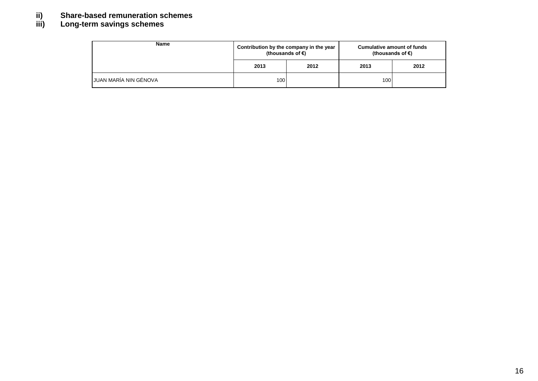# **ii) Share-based remuneration schemes**

# **iii) Long-term savings schemes**

| <b>Name</b>                  | Contribution by the company in the year<br>(thousands of €) |      | <b>Cumulative amount of funds</b><br>(thousands of €) |      |  |  |
|------------------------------|-------------------------------------------------------------|------|-------------------------------------------------------|------|--|--|
|                              | 2013                                                        | 2012 | 2013                                                  | 2012 |  |  |
| <b>JUAN MARÍA NIN GÉNOVA</b> | 100                                                         |      | 100                                                   |      |  |  |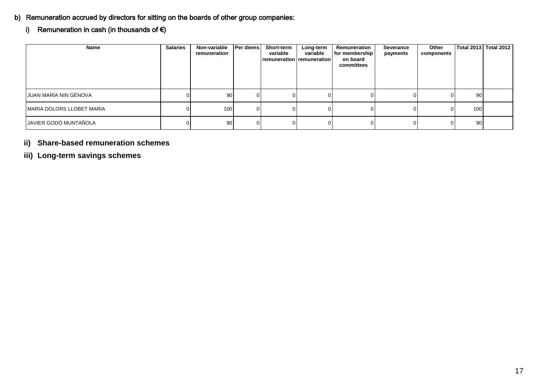## b) Remuneration accrued by directors for sitting on the boards of other group companies:

# i) Remuneration in cash (in thousands of  $\epsilon$ )

| Name                      | <b>Salaries</b> | Non-variable<br>remuneration | Per diems | Short-term<br>variable<br><b>remuneration remuneration</b> | Long-term<br>variable | Remuneration<br>for membership<br>on board<br>committees | Severance<br>payments | Other<br>components |     | Total 2013   Total 2012 |
|---------------------------|-----------------|------------------------------|-----------|------------------------------------------------------------|-----------------------|----------------------------------------------------------|-----------------------|---------------------|-----|-------------------------|
| JUAN MARÍA NIN GÉNOVA     |                 | 90                           |           |                                                            |                       |                                                          |                       |                     | 90  |                         |
| MARIA DOLORS LLOBET MARIA |                 | 100 <sub>l</sub>             |           |                                                            |                       |                                                          |                       |                     | 100 |                         |
| JAVIER GODÓ MUNTAÑOLA     |                 | 90 <sub>1</sub>              |           |                                                            |                       |                                                          |                       |                     | 90  |                         |

# **ii) Share-based remuneration schemes**

**iii) Long-term savings schemes**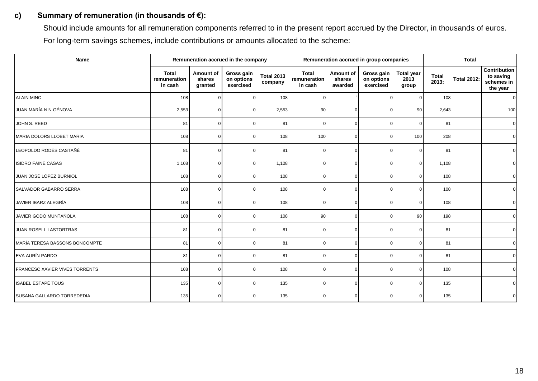## **c) Summary of remuneration (in thousands of €):**

Should include amounts for all remuneration components referred to in the present report accrued by the Director, in thousands of euros. For long-term savings schemes, include contributions or amounts allocated to the scheme:

| <b>Name</b>                    | Remuneration accrued in the company     |                                |                                       |                              | Remuneration accrued in group companies |                                |                                       |                                    | <b>Total</b>          |                    |                                                            |
|--------------------------------|-----------------------------------------|--------------------------------|---------------------------------------|------------------------------|-----------------------------------------|--------------------------------|---------------------------------------|------------------------------------|-----------------------|--------------------|------------------------------------------------------------|
|                                | <b>Total</b><br>remuneration<br>in cash | Amount of<br>shares<br>granted | Gross gain<br>on options<br>exercised | <b>Total 2013</b><br>company | <b>Total</b><br>remuneration<br>in cash | Amount of<br>shares<br>awarded | Gross gain<br>on options<br>exercised | <b>Total year</b><br>2013<br>group | <b>Total</b><br>2013: | <b>Total 2012:</b> | <b>Contribution</b><br>to saving<br>schemes in<br>the year |
| <b>ALAIN MINC</b>              | 108                                     | $\mathbf 0$                    |                                       | 108                          | $\Omega$                                |                                | $\Omega$                              | $\overline{0}$                     | 108                   |                    | $\overline{0}$                                             |
| JUAN MARÍA NIN GÉNOVA          | 2,553                                   | $\Omega$                       |                                       | 2,553                        | 90                                      | $\Omega$                       | $\Omega$                              | 90                                 | 2,643                 |                    | 100                                                        |
| JOHN S. REED                   | 81                                      | $\mathbf 0$                    | <sup>n</sup>                          | 81                           | $\Omega$                                | $\Omega$                       | $\mathbf 0$                           | $\overline{0}$                     | 81                    |                    | $\mathbf 0$                                                |
| MARIA DOLORS LLOBET MARIA      | 108                                     | $\Omega$                       | <sup>n</sup>                          | 108                          | 100                                     | $\Omega$                       | $\Omega$                              | 100                                | 208                   |                    | $\mathbf 0$                                                |
| LEOPOLDO RODÉS CASTAÑÉ         | 81                                      | $\Omega$                       | $\Omega$                              | 81                           | $\Omega$                                | $\Omega$                       | $\Omega$                              | $\overline{0}$                     | 81                    |                    | $\overline{0}$                                             |
| <b>ISIDRO FAINÉ CASAS</b>      | 1,108                                   | $\mathbf 0$                    | ∩                                     | 1,108                        | $\Omega$                                | ∩                              | $\mathbf 0$                           | $\overline{0}$                     | 1,108                 |                    | $\mathbf 0$                                                |
| JUAN JOSÉ LÓPEZ BURNIOL        | 108                                     | $\Omega$                       |                                       | 108                          | $\Omega$                                |                                | $\Omega$                              | $\overline{0}$                     | 108                   |                    | $\overline{0}$                                             |
| SALVADOR GABARRÓ SERRA         | 108                                     | $\mathbf 0$                    |                                       | 108                          | O                                       |                                | $\mathbf 0$                           | $\overline{0}$                     | 108                   |                    | $\overline{0}$                                             |
| JAVIER IBARZ ALEGRÍA           | 108                                     | $\Omega$                       |                                       | 108                          | $\Omega$                                | n                              | $\mathbf 0$                           | $\overline{0}$                     | 108                   |                    | $\overline{0}$                                             |
| JAVIER GODÓ MUNTAÑOLA          | 108                                     | $\Omega$                       |                                       | 108                          | 90                                      | $\Omega$                       | $\mathbf 0$                           | 90                                 | 198                   |                    | $\mathbf 0$                                                |
| JUAN ROSELL LASTORTRAS         | 81                                      | $\Omega$                       |                                       | 81                           | $\Omega$                                |                                | $\Omega$                              | $\Omega$                           | 81                    |                    | $\overline{0}$                                             |
| MARÍA TERESA BASSONS BONCOMPTE | 81                                      | $\Omega$                       |                                       | 81                           | $\Omega$                                |                                | $\mathbf 0$                           | $\overline{0}$                     | 81                    |                    | $\overline{0}$                                             |
| EVA AURÍN PARDO                | 81                                      | $\Omega$                       | <sup>n</sup>                          | 81                           | $\Omega$                                | n                              | $\Omega$                              | $\overline{0}$                     | 81                    |                    | $\overline{0}$                                             |
| FRANCESC XAVIER VIVES TORRENTS | 108                                     | $\Omega$                       |                                       | 108                          | $\Omega$                                |                                | $\Omega$                              | $\overline{0}$                     | 108                   |                    | $\overline{0}$                                             |
| <b>ISABEL ESTAPÉ TOUS</b>      | 135                                     | $\Omega$                       |                                       | 135                          | n                                       |                                | $\mathbf 0$                           | $\Omega$                           | 135                   |                    | $\overline{0}$                                             |
| SUSANA GALLARDO TORREDEDIA     | 135                                     | $\Omega$                       |                                       | 135                          | n                                       |                                | $\Omega$                              | $\overline{0}$                     | 135                   |                    | $\Omega$                                                   |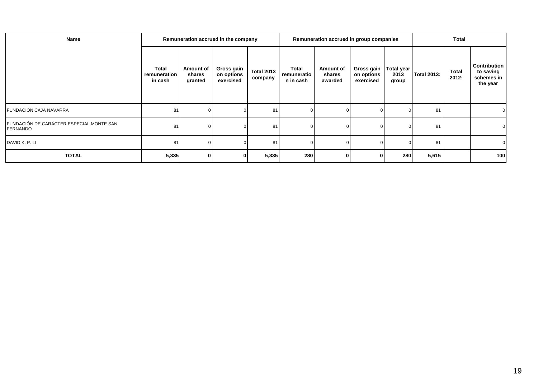| Name                                                 |                                  |                                | Remuneration accrued in the company   |                              |                                   | Remuneration accrued in group companies |                                       |                             | <b>Total</b>       |                       |                                                            |
|------------------------------------------------------|----------------------------------|--------------------------------|---------------------------------------|------------------------------|-----------------------------------|-----------------------------------------|---------------------------------------|-----------------------------|--------------------|-----------------------|------------------------------------------------------------|
|                                                      | Total<br>remuneration<br>in cash | Amount of<br>shares<br>granted | Gross gain<br>on options<br>exercised | <b>Total 2013</b><br>company | Total<br>remuneratio<br>n in cash | Amount of<br>shares<br>awarded          | Gross gain<br>on options<br>exercised | Total year<br>2013<br>group | <b>Total 2013:</b> | <b>Total</b><br>2012: | <b>Contribution</b><br>to saving<br>schemes in<br>the year |
| FUNDACIÓN CAJA NAVARRA                               | 81                               |                                |                                       | 81                           |                                   |                                         |                                       |                             | 81                 |                       |                                                            |
| FUNDACIÓN DE CARÁCTER ESPECIAL MONTE SAN<br>FERNANDO | 81                               |                                |                                       | 81                           |                                   |                                         | $\Omega$                              |                             | 81                 |                       | 0                                                          |
| DAVID K. P. LI                                       | 81                               |                                |                                       | 81                           |                                   |                                         | 0                                     |                             | 81                 |                       | $\overline{0}$                                             |
| <b>TOTAL</b>                                         | 5,335                            |                                | $\bf{0}$                              | 5,335                        | 280                               |                                         | 0                                     | 280                         | 5,615              |                       | 100                                                        |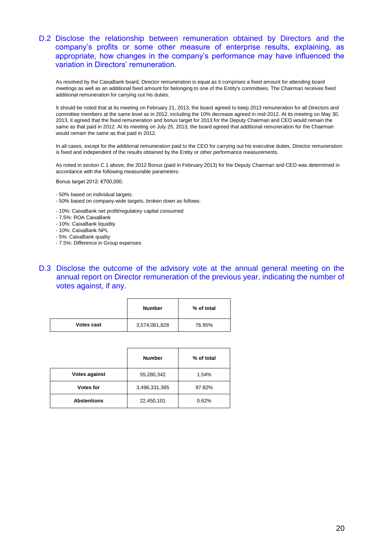## D.2 Disclose the relationship between remuneration obtained by Directors and the company's profits or some other measure of enterprise results, explaining, as appropriate, how changes in the company's performance may have influenced the variation in Directors' remuneration.

As resolved by the CaixaBank board, Director remuneration is equal as it comprises a fixed amount for attending board meetings as well as an additional fixed amount for belonging to one of the Entity's committees. The Chairman receives fixed additional remuneration for carrying out his duties.

It should be noted that at its meeting on February 21, 2013, the board agreed to keep 2013 remuneration for all Directors and committee members at the same level as in 2012, including the 10% decrease agreed in mid-2012. At its meeting on May 30, 2013, it agreed that the fixed remuneration and bonus target for 2013 for the Deputy Chairman and CEO would remain the same as that paid in 2012. At its meeting on July 25, 2013, the board agreed that additional remuneration for the Chairman would remain the same as that paid in 2012.

In all cases, except for the additional remuneration paid to the CEO for carrying out his executive duties, Director remuneration is fixed and independent of the results obtained by the Entity or other performance measurements.

As noted in section C.1 above, the 2012 Bonus (paid in February 2013) for the Deputy Chairman and CEO was determined in accordance with the following measurable parameters:

Bonus target 2012: €700,000.

- 50% based on individual targets.
- 50% based on company-wide targets, broken down as follows:
- 10%: CaixaBank net profit/regulatory capital consumed
- 7.5%: ROA CaixaBank
- 10%: CaixaBank liquidity
- 10%: CaixaBank NPL
- 5%: CaixaBank quality
- 7.5%: Difference in Group expenses
- D.3 Disclose the outcome of the advisory vote at the annual general meeting on the annual report on Director remuneration of the previous year, indicating the number of votes against, if any.

|                   | <b>Number</b> | % of total |  |  |  |
|-------------------|---------------|------------|--|--|--|
| <b>Votes cast</b> | 3,574,061,828 | 76.95%     |  |  |  |

|                      | <b>Number</b> | % of total |
|----------------------|---------------|------------|
| <b>Votes against</b> | 55,280,342    | 1.54%      |
| <b>Votes for</b>     | 3,496,331,385 | 97.82%     |
| <b>Abstentions</b>   | 22,450,101    | 0.62%      |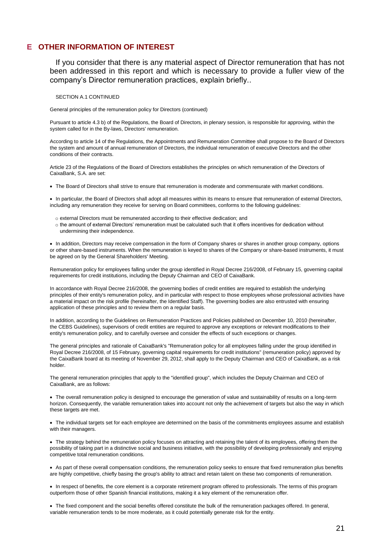#### **E OTHER INFORMATION OF INTEREST**

If you consider that there is any material aspect of Director remuneration that has not been addressed in this report and which is necessary to provide a fuller view of the company's Director remuneration practices, explain briefly..

#### SECTION A.1 CONTINUED

General principles of the remuneration policy for Directors (continued)

Pursuant to article 4.3 b) of the Regulations, the Board of Directors, in plenary session, is responsible for approving, within the system called for in the By-laws, Directors' remuneration.

According to article 14 of the Regulations, the Appointments and Remuneration Committee shall propose to the Board of Directors the system and amount of annual remuneration of Directors, the individual remuneration of executive Directors and the other conditions of their contracts.

Article 23 of the Regulations of the Board of Directors establishes the principles on which remuneration of the Directors of CaixaBank, S.A. are set:

The Board of Directors shall strive to ensure that remuneration is moderate and commensurate with market conditions.

 In particular, the Board of Directors shall adopt all measures within its means to ensure that remuneration of external Directors, including any remuneration they receive for serving on Board committees, conforms to the following guidelines:

- o external Directors must be remunerated according to their effective dedication; and
- o the amount of external Directors' remuneration must be calculated such that it offers incentives for dedication without undermining their independence.

• In addition, Directors may receive compensation in the form of Company shares or shares in another group company, options or other share-based instruments. When the remuneration is keyed to shares of the Company or share-based instruments, it must be agreed on by the General Shareholders' Meeting.

Remuneration policy for employees falling under the group identified in Royal Decree 216/2008, of February 15, governing capital requirements for credit institutions, including the Deputy Chairman and CEO of CaixaBank.

In accordance with Royal Decree 216/2008, the governing bodies of credit entities are required to establish the underlying principles of their entity's remuneration policy, and in particular with respect to those employees whose professional activities have a material impact on the risk profile (hereinafter, the Identified Staff). The governing bodies are also entrusted with ensuring application of these principles and to review them on a regular basis.

In addition, according to the Guidelines on Remuneration Practices and Policies published on December 10, 2010 (hereinafter, the CEBS Guidelines), supervisors of credit entities are required to approve any exceptions or relevant modifications to their entity's remuneration policy, and to carefully oversee and consider the effects of such exceptions or changes.

The general principles and rationale of CaixaBank's "Remuneration policy for all employees falling under the group identified in Royal Decree 216/2008, of 15 February, governing capital requirements for credit institutions" (remuneration policy) approved by the CaixaBank board at its meeting of November 29, 2012, shall apply to the Deputy Chairman and CEO of CaixaBank, as a risk holder.

The general remuneration principles that apply to the "identified group", which includes the Deputy Chairman and CEO of CaixaBank, are as follows:

 The overall remuneration policy is designed to encourage the generation of value and sustainability of results on a long-term horizon. Consequently, the variable remuneration takes into account not only the achievement of targets but also the way in which these targets are met.

 The individual targets set for each employee are determined on the basis of the commitments employees assume and establish with their managers.

 The strategy behind the remuneration policy focuses on attracting and retaining the talent of its employees, offering them the possibility of taking part in a distinctive social and business initiative, with the possibility of developing professionally and enjoying competitive total remuneration conditions.

 As part of these overall compensation conditions, the remuneration policy seeks to ensure that fixed remuneration plus benefits are highly competitive, chiefly basing the group's ability to attract and retain talent on these two components of remuneration.

• In respect of benefits, the core element is a corporate retirement program offered to professionals. The terms of this program outperform those of other Spanish financial institutions, making it a key element of the remuneration offer.

 The fixed component and the social benefits offered constitute the bulk of the remuneration packages offered. In general, variable remuneration tends to be more moderate, as it could potentially generate risk for the entity.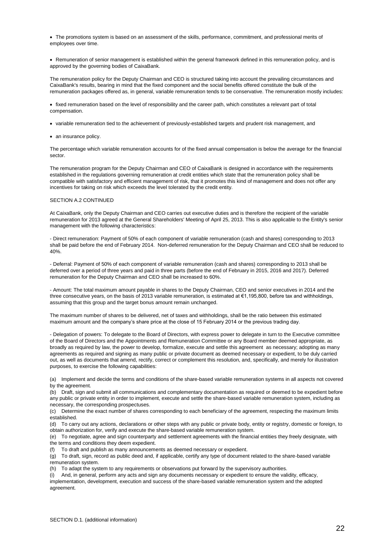The promotions system is based on an assessment of the skills, performance, commitment, and professional merits of employees over time.

 Remuneration of senior management is established within the general framework defined in this remuneration policy, and is approved by the governing bodies of CaixaBank.

The remuneration policy for the Deputy Chairman and CEO is structured taking into account the prevailing circumstances and CaixaBank's results, bearing in mind that the fixed component and the social benefits offered constitute the bulk of the remuneration packages offered as, in general, variable remuneration tends to be conservative. The remuneration mostly includes:

 fixed remuneration based on the level of responsibility and the career path, which constitutes a relevant part of total compensation.

- variable remuneration tied to the achievement of previously-established targets and prudent risk management, and
- an insurance policy.

The percentage which variable remuneration accounts for of the fixed annual compensation is below the average for the financial sector.

The remuneration program for the Deputy Chairman and CEO of CaixaBank is designed in accordance with the requirements established in the regulations governing remuneration at credit entities which state that the remuneration policy shall be compatible with satisfactory and efficient management of risk, that it promotes this kind of management and does not offer any incentives for taking on risk which exceeds the level tolerated by the credit entity.

#### SECTION A.2 CONTINUED

At CaixaBank, only the Deputy Chairman and CEO carries out executive duties and is therefore the recipient of the variable remuneration for 2013 agreed at the General Shareholders' Meeting of April 25, 2013. This is also applicable to the Entity's senior management with the following characteristics:

- Direct remuneration: Payment of 50% of each component of variable remuneration (cash and shares) corresponding to 2013 shall be paid before the end of February 2014. Non-deferred remuneration for the Deputy Chairman and CEO shall be reduced to 40%.

- Deferral: Payment of 50% of each component of variable remuneration (cash and shares) corresponding to 2013 shall be deferred over a period of three years and paid in three parts (before the end of February in 2015, 2016 and 2017). Deferred remuneration for the Deputy Chairman and CEO shall be increased to 60%.

- Amount: The total maximum amount payable in shares to the Deputy Chairman, CEO and senior executives in 2014 and the three consecutive years, on the basis of 2013 variable remuneration, is estimated at €1,195,800, before tax and withholdings, assuming that this group and the target bonus amount remain unchanged.

The maximum number of shares to be delivered, net of taxes and withholdings, shall be the ratio between this estimated maximum amount and the company's share price at the close of 15 February 2014 or the previous trading day.

- Delegation of powers: To delegate to the Board of Directors, with express power to delegate in turn to the Executive committee of the Board of Directors and the Appointments and Remuneration Committee or any Board member deemed appropriate, as broadly as required by law, the power to develop, formalize, execute and settle this agreement as necessary; adopting as many agreements as required and signing as many public or private document as deemed necessary or expedient, to be duly carried out, as well as documents that amend, rectify, correct or complement this resolution, and, specifically, and merely for illustration purposes, to exercise the following capabilities:

(a) Implement and decide the terms and conditions of the share-based variable remuneration systems in all aspects not covered by the agreement.

(b) Draft, sign and submit all communications and complementary documentation as required or deemed to be expedient before any public or private entity in order to implement, execute and settle the share-based variable remuneration system, including as necessary, the corresponding prospectuses.

(c) Determine the exact number of shares corresponding to each beneficiary of the agreement, respecting the maximum limits established.

(d) To carry out any actions, declarations or other steps with any public or private body, entity or registry, domestic or foreign, to obtain authorization for, verify and execute the share-based variable remuneration system.

(e) To negotiate, agree and sign counterparty and settlement agreements with the financial entities they freely designate, with the terms and conditions they deem expedient.

(f) To draft and publish as many announcements as deemed necessary or expedient.

(g) To draft, sign, record as public deed and, if applicable, certify any type of document related to the share-based variable remuneration system.

(h) To adapt the system to any requirements or observations put forward by the supervisory authorities.

(i) And, in general, perform any acts and sign any documents necessary or expedient to ensure the validity, efficacy, implementation, development, execution and success of the share-based variable remuneration system and the adopted agreement.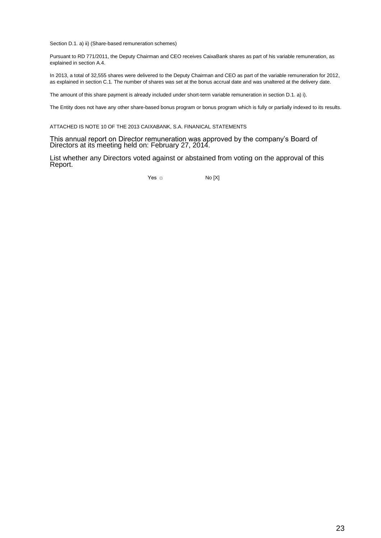Section D.1. a) ii) (Share-based remuneration schemes)

Pursuant to RD 771/2011, the Deputy Chairman and CEO receives CaixaBank shares as part of his variable remuneration, as explained in section A.4.

In 2013, a total of 32,555 shares were delivered to the Deputy Chairman and CEO as part of the variable remuneration for 2012, as explained in section C.1. The number of shares was set at the bonus accrual date and was unaltered at the delivery date.

The amount of this share payment is already included under short-term variable remuneration in section D.1. a) i).

The Entity does not have any other share-based bonus program or bonus program which is fully or partially indexed to its results.

ATTACHED IS NOTE 10 OF THE 2013 CAIXABANK, S.A. FINANICAL STATEMENTS

This annual report on Director remuneration was approved by the company's Board of Directors at its meeting held on: February 27, 2014.

List whether any Directors voted against or abstained from voting on the approval of this Report.

Yes □ No [X]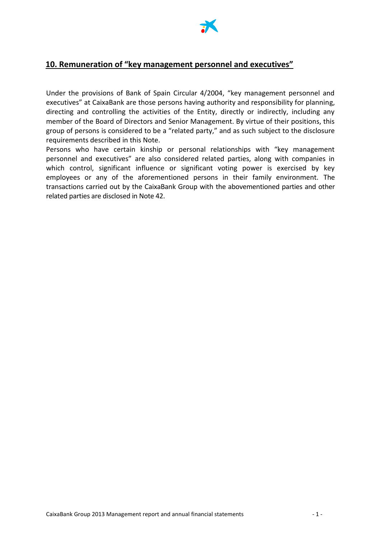

## **10. Remuneration of "key management personnel and executives"**

Under the provisions of Bank of Spain Circular 4/2004, "key management personnel and executives" at CaixaBank are those persons having authority and responsibility for planning, directing and controlling the activities of the Entity, directly or indirectly, including any member of the Board of Directors and Senior Management. By virtue of their positions, this group of persons is considered to be a "related party," and as such subject to the disclosure requirements described in this Note.

Persons who have certain kinship or personal relationships with "key management personnel and executives" are also considered related parties, along with companies in which control, significant influence or significant voting power is exercised by key employees or any of the aforementioned persons in their family environment. The transactions carried out by the CaixaBank Group with the abovementioned parties and other related parties are disclosed in Note 42.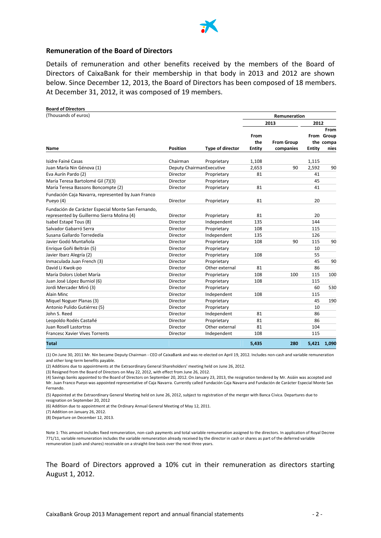

#### **Remuneration of the Board of Directors**

Details of remuneration and other benefits received by the members of the Board of Directors of CaixaBank for their membership in that body in 2013 and 2012 are shown below. Since December 12, 2013, the Board of Directors has been composed of 18 members. At December 31, 2012, it was composed of 19 members.

| <b>Board of Directors</b><br>(Thousands of euros)               |                 |                           |                              | Remuneration                   |               |                                         |
|-----------------------------------------------------------------|-----------------|---------------------------|------------------------------|--------------------------------|---------------|-----------------------------------------|
|                                                                 |                 |                           |                              | 2013                           | 2012          |                                         |
| Name                                                            | <b>Position</b> | Type of director          | From<br>the<br><b>Entity</b> | <b>From Group</b><br>companies | <b>Entity</b> | From<br>From Group<br>the compa<br>nies |
| Isidre Fainé Casas                                              | Chairman        | Proprietary               | 1,108                        |                                | 1,115         |                                         |
| Juan María Nin Génova (1)                                       |                 | Deputy Chairman Executive | 2,653                        | 90                             | 2,592         | 90                                      |
| Eva Aurín Pardo (2)                                             | Director        | Proprietary               | 81                           |                                | 41            |                                         |
| María Teresa Bartolomé Gil (7)(3)                               | Director        | Proprietary               |                              |                                | 45            |                                         |
| María Teresa Bassons Boncompte (2)                              | Director        | Proprietary               | 81                           |                                | 41            |                                         |
| Fundación Caja Navarra, represented by Juan Franco<br>Pueyo (4) | Director        | Proprietary               | 81                           |                                | 20            |                                         |
| Fundación de Carácter Especial Monte San Fernando,              |                 |                           |                              |                                |               |                                         |
| represented by Guillermo Sierra Molina (4)                      | Director        | Proprietary               | 81                           |                                | 20            |                                         |
| Isabel Estapé Tous (8)                                          | Director        | Independent               | 135                          |                                | 144           |                                         |
| Salvador Gabarró Serra                                          | Director        | Proprietary               | 108                          |                                | 115           |                                         |
| Susana Gallardo Torrededía                                      | Director        | Independent               | 135                          |                                | 126           |                                         |
| Javier Godó Muntañola                                           | Director        | Proprietary               | 108                          | 90                             | 115           | 90                                      |
| Enrique Goñi Beltrán (5)                                        | Director        | Proprietary               |                              |                                | 10            |                                         |
| Javier Ibarz Alegría (2)                                        | Director        | Proprietary               | 108                          |                                | 55            |                                         |
| Inmaculada Juan French (3)                                      | Director        | Proprietary               |                              |                                | 45            | 90                                      |
| David Li Kwok-po                                                | Director        | Other external            | 81                           |                                | 86            |                                         |
| María Dolors Llobet María                                       | Director        | Proprietary               | 108                          | 100                            | 115           | 100                                     |
| Juan José López Burniol (6)                                     | Director        | Proprietary               | 108                          |                                | 115           |                                         |
| Jordi Mercader Miró (3)                                         | Director        | Proprietary               |                              |                                | 60            | 530                                     |
| Alain Minc                                                      | Director        | Independent               | 108                          |                                | 115           |                                         |
| Miquel Noguer Planas (3)                                        | Director        | Proprietary               |                              |                                | 45            | 190                                     |
| Antonio Pulido Gutiérrez (5)                                    | Director        | Proprietary               |                              |                                | 10            |                                         |
| John S. Reed                                                    | Director        | Independent               | 81                           |                                | 86            |                                         |
| Leopoldo Rodés Castañé                                          | Director        | Proprietary               | 81                           |                                | 86            |                                         |
| Juan Rosell Lastortras                                          | Director        | Other external            | 81                           |                                | 104           |                                         |
| <b>Francesc Xavier Vives Torrents</b>                           | Director        | Independent               | 108                          |                                | 115           |                                         |
| Total                                                           |                 |                           | 5,435                        | 280                            | 5,421         | 1,090                                   |

(1) On June 30, 2011 Mr. Nin became Deputy Chairman - CEO of CaixaBank and was re-elected on April 19, 2012. Includes non-cash and variable remuneration and other long-term benefits payable.

(2) Additions due to appointments at the Extraordinary General Shareholders' meeting held on June 26, 2012.

(3) Resigned from the Board of Directors on May 22, 2012, with effect from June 26, 2012.

(4) Savings banks appointed to the Board of Directors on September 20, 2012. On January 23, 2013, the resignation tendered by Mr. Asiáin was accepted and Mr. Juan Franco Pueyo was appointed representative of Caja Navarra. Currently called Fundación Caja Navarra and Fundación de Carácter Especial Monte San Fernando.

(5) Appointed at the Extraordinary General Meeting held on June 26, 2012, subject to registration of the merger with Banca Cívica. Departures due to resignation on September 20, 2012

(6) Addition due to appointment at the Ordinary Annual General Meeting of May 12, 2011.

(7) Addition on January 26, 2012.

(8) Departure on December 12, 2013.

Note 1: This amount includes fixed remuneration, non-cash payments and total variable remuneration assigned to the directors. In application of Royal Decree 771/11, variable remuneration includes the variable remuneration already received by the director in cash or shares as part of the deferred variable remuneration (cash and shares) receivable on a straight-line basis over the next three years.

The Board of Directors approved a 10% cut in their remuneration as directors starting August 1, 2012.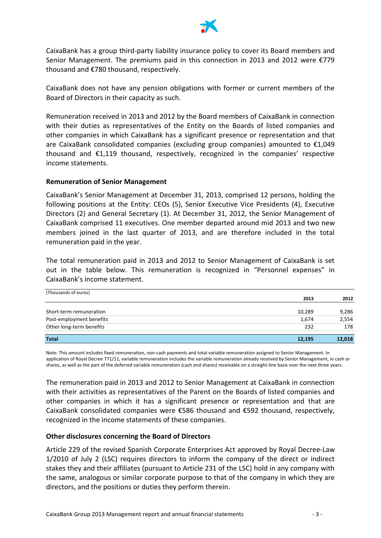

CaixaBank has a group third-party liability insurance policy to cover its Board members and Senior Management. The premiums paid in this connection in 2013 and 2012 were €779 thousand and €780 thousand, respectively.

CaixaBank does not have any pension obligations with former or current members of the Board of Directors in their capacity as such.

Remuneration received in 2013 and 2012 by the Board members of CaixaBank in connection with their duties as representatives of the Entity on the Boards of listed companies and other companies in which CaixaBank has a significant presence or representation and that are CaixaBank consolidated companies (excluding group companies) amounted to  $\epsilon$ 1,049 thousand and  $\epsilon$ 1,119 thousand, respectively, recognized in the companies' respective income statements.

#### **Remuneration of Senior Management**

CaixaBank's Senior Management at December 31, 2013, comprised 12 persons, holding the following positions at the Entity: CEOs (5), Senior Executive Vice Presidents (4), Executive Directors (2) and General Secretary (1). At December 31, 2012, the Senior Management of CaixaBank comprised 11 executives. One member departed around mid 2013 and two new members joined in the last quarter of 2013, and are therefore included in the total remuneration paid in the year.

The total remuneration paid in 2013 and 2012 to Senior Management of CaixaBank is set out in the table below. This remuneration is recognized in "Personnel expenses" in CaixaBank's income statement.

| (Thousands of euros)     |        |        |
|--------------------------|--------|--------|
|                          | 2013   | 2012   |
| Short-term remuneration  | 10,289 | 9,286  |
| Post-employment benefits | 1,674  | 2,554  |
| Other long-term benefits | 232    | 178    |
| <b>Total</b>             | 12,195 | 12,018 |

Note: This amount includes fixed remuneration, non-cash payments and total variable remuneration assigned to Senior Management. In application of Royal Decree 771/11, variable remuneration includes the variable remuneration already received by Senior Management, in cash or shares, as well as the part of the deferred variable remuneration (cash and shares) receivable on a straight-line basis over the next three years.

The remuneration paid in 2013 and 2012 to Senior Management at CaixaBank in connection with their activities as representatives of the Parent on the Boards of listed companies and other companies in which it has a significant presence or representation and that are CaixaBank consolidated companies were €586 thousand and €592 thousand, respectively, recognized in the income statements of these companies.

### **Other disclosures concerning the Board of Directors**

Article 229 of the revised Spanish Corporate Enterprises Act approved by Royal Decree-Law 1/2010 of July 2 (LSC) requires directors to inform the company of the direct or indirect stakes they and their affiliates (pursuant to Article 231 of the LSC) hold in any company with the same, analogous or similar corporate purpose to that of the company in which they are directors, and the positions or duties they perform therein.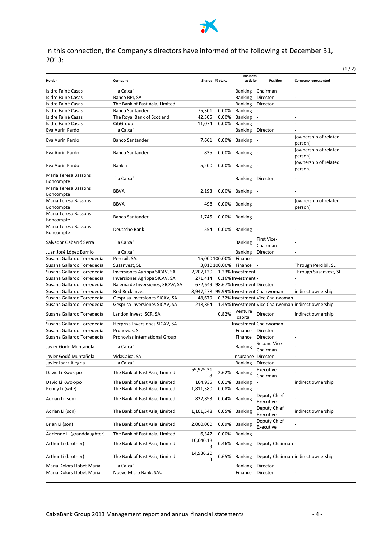

## In this connection, the Company's directors have informed of the following at December 31, 2013:

|                                   |                                  |                |                |                                    |                                        |                                                     | (1/2) |
|-----------------------------------|----------------------------------|----------------|----------------|------------------------------------|----------------------------------------|-----------------------------------------------------|-------|
|                                   |                                  |                |                | <b>Business</b>                    |                                        |                                                     |       |
| Holder                            | Company                          |                | Shares % stake | activity                           | Position                               | <b>Company represented</b>                          |       |
| Isidre Fainé Casas                | "la Caixa"                       |                |                |                                    | Banking Chairman                       |                                                     |       |
| Isidre Fainé Casas                | Banco BPI, SA                    |                |                | <b>Banking</b>                     | Director                               | ÷,                                                  |       |
| Isidre Fainé Casas                | The Bank of East Asia, Limited   |                |                | <b>Banking</b>                     | Director                               | $\qquad \qquad \blacksquare$                        |       |
| Isidre Fainé Casas                | <b>Banco Santander</b>           | 75,301         | 0.00%          | <b>Banking</b>                     | $\sim$                                 | $\overline{a}$                                      |       |
| Isidre Fainé Casas                | The Royal Bank of Scotland       | 42,305         | 0.00%          | <b>Banking</b>                     | $\sim$                                 |                                                     |       |
| Isidre Fainé Casas                | CitiGroup                        | 11,074         | 0.00%          | Banking                            | $\sim$                                 | $\overline{a}$                                      |       |
| Eva Aurín Pardo                   | "la Caixa"                       |                |                | <b>Banking</b>                     | Director                               |                                                     |       |
| Eva Aurín Pardo                   | <b>Banco Santander</b>           | 7,661          | $0.00\%$       | Banking                            |                                        | (ownership of related<br>person)                    |       |
| Eva Aurín Pardo                   | <b>Banco Santander</b>           | 835            |                | 0.00% Banking -                    |                                        | (ownership of related<br>person)                    |       |
| Eva Aurín Pardo                   | Bankia                           | 5,200          | $0.00\%$       | Banking -                          |                                        | (ownership of related<br>person)                    |       |
| Maria Teresa Bassons<br>Boncompte | "la Caixa"                       |                |                | <b>Banking</b>                     | Director                               |                                                     |       |
| Maria Teresa Bassons<br>Boncompte | <b>BBVA</b>                      | 2,193          |                | 0.00% Banking -                    |                                        |                                                     |       |
| Maria Teresa Bassons              | <b>BBVA</b>                      | 498            |                | 0.00% Banking -                    |                                        | (ownership of related                               |       |
| Boncompte                         |                                  |                |                |                                    |                                        | person)                                             |       |
| Maria Teresa Bassons<br>Boncompte | <b>Banco Santander</b>           | 1,745          | 0.00%          | <b>Banking</b>                     |                                        |                                                     |       |
| Maria Teresa Bassons<br>Boncompte | Deutsche Bank                    | 554            |                | 0.00% Banking -                    |                                        |                                                     |       |
| Salvador Gabarró Serra            | "la Caixa"                       |                |                | <b>Banking</b>                     | First Vice-<br>Chairman                |                                                     |       |
| Juan José López Burniol           | "la Caixa"                       |                |                | <b>Banking</b>                     | Director                               |                                                     |       |
| Susana Gallardo Torrededía        | Percibil, SA.                    |                | 15,000 100.00% | Finance                            | $\overline{\phantom{a}}$               |                                                     |       |
| Susana Gallardo Torrededía        | Susanvest, SL                    |                | 3,010 100.00%  | Finance -                          |                                        | Through Percibil, SL                                |       |
| Susana Gallardo Torrededía        | Inversiones Agrippa SICAV, SA    | 2,207,120      |                | 1.23% Investment -                 |                                        | Through Susanvest, SL                               |       |
| Susana Gallardo Torrededía        | Inversiones Agrippa SICAV, SA    | 271,414        |                | 0.16% Investment -                 |                                        | L.                                                  |       |
| Susana Gallardo Torrededía        | Balema de Inversiones, SICAV, SA |                |                | 672,649 98.67% Investment Director |                                        |                                                     |       |
| Susana Gallardo Torrededía        | Red Rock Invest                  |                |                |                                    | 8,947,278 99.99% Investment Chairwoman | indirect ownership                                  |       |
| Susana Gallardo Torrededía        |                                  | 48,679         |                |                                    | 0.32% Investment Vice Chairwoman -     |                                                     |       |
|                                   | Gesprisa Inversiones SICAV, SA   |                |                |                                    |                                        |                                                     |       |
| Susana Gallardo Torrededía        | Gesprisa Inversiones SICAV, SA   | 218,864        |                |                                    |                                        | 1.45% Investment Vice Chairwoman indirect ownership |       |
| Susana Gallardo Torrededía        | Landon Invest. SCR, SA           |                | 0.82%          | Venture<br>capital                 | Director                               | indirect ownership                                  |       |
| Susana Gallardo Torrededía        | Herprisa Inversiones SICAV, SA   |                |                |                                    | Investment Chairwoman                  | $\omega$                                            |       |
| Susana Gallardo Torrededía        | Pronovias, SL                    |                |                | Finance                            | Director                               | $\qquad \qquad \blacksquare$                        |       |
| Susana Gallardo Torrededía        | Pronovias International Group    |                |                | Finance                            | Director                               | ٠                                                   |       |
| Javier Godó Muntañola             | "la Caixa"                       |                |                | <b>Banking</b>                     | Second Vice-<br>Chairman               |                                                     |       |
| Javier Godó Muntañola             | VidaCaixa, SA                    |                |                | Insurance Director                 |                                        | $\overline{\phantom{a}}$                            |       |
| Javier Ibarz Alegria              | "la Caixa"                       |                |                | <b>Banking</b>                     | Director                               |                                                     |       |
| David Li Kwok-po                  | The Bank of East Asia, Limited   | 59,979,31<br>8 | 2.62%          | <b>Banking</b>                     | Executive<br>Chairman                  |                                                     |       |
| David Li Kwok-po                  | The Bank of East Asia, Limited   | 164,935        | 0.01%          | <b>Banking</b>                     | $\overline{\phantom{a}}$               | indirect ownership                                  |       |
| Penny Li (wife)                   | The Bank of East Asia, Limited   | 1,811,380      | 0.08%          | <b>Banking</b>                     | $\Box$                                 | $\blacksquare$                                      |       |
| Adrian Li (son)                   | The Bank of East Asia, Limited   | 822,893        | 0.04%          | <b>Banking</b>                     | Deputy Chief<br>Executive              |                                                     |       |
| Adrian Li (son)                   | The Bank of East Asia, Limited   | 1,101,548      | 0.05%          | <b>Banking</b>                     | Deputy Chief<br>Executive              | indirect ownership                                  |       |
| Brian Li (son)                    | The Bank of East Asia, Limited   | 2,000,000      | 0.09%          | <b>Banking</b>                     | Deputy Chief<br>Executive              |                                                     |       |
| Adrienne Li (granddaughter)       | The Bank of East Asia, Limited   | 6,347          | 0.00%          | <b>Banking</b>                     |                                        |                                                     |       |
| Arthur Li (brother)               | The Bank of East Asia, Limited   | 10,646,18<br>3 | 0.46%          | <b>Banking</b>                     | Deputy Chairman -                      |                                                     |       |
| Arthur Li (brother)               | The Bank of East Asia, Limited   | 14,936,20<br>3 | 0.65%          | Banking                            |                                        | Deputy Chairman indirect ownership                  |       |
| Maria Dolors Llobet Maria         | "la Caixa"                       |                |                | <b>Banking</b>                     | Director                               |                                                     |       |
| Maria Dolors Llobet Maria         | Nuevo Micro Bank, SAU            |                |                | Finance                            | Director                               | $\frac{1}{2}$                                       |       |
|                                   |                                  |                |                |                                    |                                        |                                                     |       |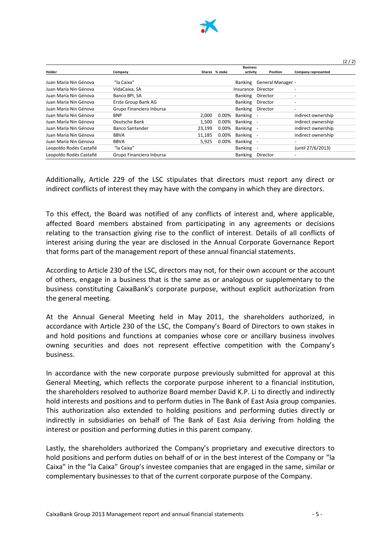

|                        |                          |        |                |                    |                   |                          | (2/2) |
|------------------------|--------------------------|--------|----------------|--------------------|-------------------|--------------------------|-------|
|                        |                          |        |                | <b>Business</b>    |                   |                          |       |
| Holder                 | Company                  |        | Shares % stake | activity           | <b>Position</b>   | Company represented      |       |
| Juan María Nin Génova  | "la Caixa"               |        |                | Banking            | General Manager - |                          |       |
| Juan María Nin Génova  | VidaCaixa, SA            |        |                | Insurance Director |                   | $\overline{\phantom{0}}$ |       |
| Juan María Nin Génova  | Banco BPI, SA            |        |                | <b>Banking</b>     | Director          |                          |       |
| Juan María Nin Génova  | Erste Group Bank AG      |        |                | <b>Banking</b>     | Director          |                          |       |
| Juan María Nin Génova  | Grupo Financiero Inbursa |        |                | <b>Banking</b>     | Director          | $\overline{\phantom{0}}$ |       |
| Juan María Nin Génova  | <b>BNP</b>               | 2.000  | 0.00%          | Banking            |                   | indirect ownership       |       |
| Juan María Nin Génova  | Deutsche Bank            | 1,500  | $0.00\%$       | Banking            |                   | indirect ownership       |       |
| Juan María Nin Génova  | <b>Banco Santander</b>   | 23,199 | 0.00%          | Banking            |                   | indirect ownership       |       |
| Juan María Nin Génova  | <b>BBVA</b>              | 11,185 | 0.00%          | Banking            |                   | indirect ownership       |       |
| Juan María Nin Génova  | <b>BBVA</b>              | 5.925  | 0.00%          | Banking            |                   |                          |       |
| Leopoldo Rodés Castañé | "la Caixa"               |        |                | <b>Banking</b>     |                   | (until 27/6/2013)        |       |
| Leopoldo Rodés Castañé | Grupo Financiero Inbursa |        |                | <b>Banking</b>     | Director          |                          |       |

Additionally, Article 229 of the LSC stipulates that directors must report any direct or indirect conflicts of interest they may have with the company in which they are directors.

To this effect, the Board was notified of any conflicts of interest and, where applicable, affected Board members abstained from participating in any agreements or decisions relating to the transaction giving rise to the conflict of interest. Details of all conflicts of interest arising during the year are disclosed in the Annual Corporate Governance Report that forms part of the management report of these annual financial statements.

According to Article 230 of the LSC, directors may not, for their own account or the account of others, engage in a business that is the same as or analogous or supplementary to the business constituting CaixaBank's corporate purpose, without explicit authorization from the general meeting.

At the Annual General Meeting held in May 2011, the shareholders authorized, in accordance with Article 230 of the LSC, the Company's Board of Directors to own stakes in and hold positions and functions at companies whose core or ancillary business involves owning securities and does not represent effective competition with the Company's business.

In accordance with the new corporate purpose previously submitted for approval at this General Meeting, which reflects the corporate purpose inherent to a financial institution, the shareholders resolved to authorize Board member David K.P. Li to directly and indirectly hold interests and positions and to perform duties in The Bank of East Asia group companies. This authorization also extended to holding positions and performing duties directly or indirectly in subsidiaries on behalf of The Bank of East Asia deriving from holding the interest or position and performing duties in this parent company.

Lastly, the shareholders authorized the Company's proprietary and executive directors to hold positions and perform duties on behalf of or in the best interest of the Company or "la Caixa" in the "la Caixa" Group's investee companies that are engaged in the same, similar or complementary businesses to that of the current corporate purpose of the Company.